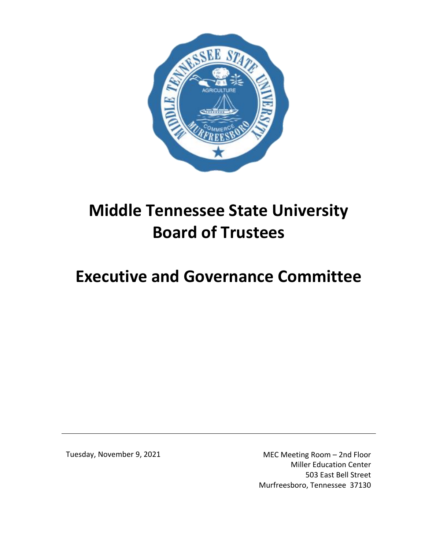

# **Executive and Governance Committee**

Tuesday, November 9, 2021 MEC Meeting Room – 2nd Floor Miller Education Center 503 East Bell Street Murfreesboro, Tennessee 37130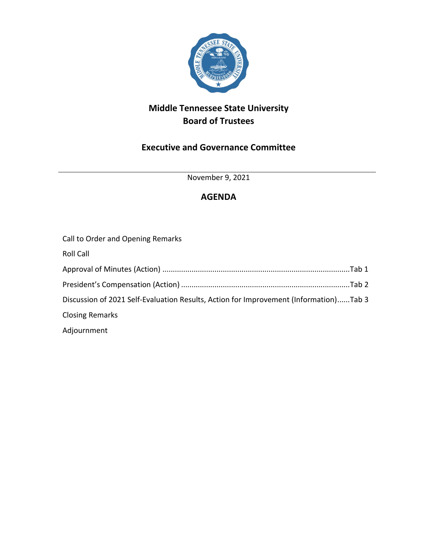

## **Executive and Governance Committee**

November 9, 2021

## **AGENDA**

| Call to Order and Opening Remarks                                                     |  |
|---------------------------------------------------------------------------------------|--|
| <b>Roll Call</b>                                                                      |  |
|                                                                                       |  |
|                                                                                       |  |
| Discussion of 2021 Self-Evaluation Results, Action for Improvement (Information)Tab 3 |  |
| <b>Closing Remarks</b>                                                                |  |
| Adjournment                                                                           |  |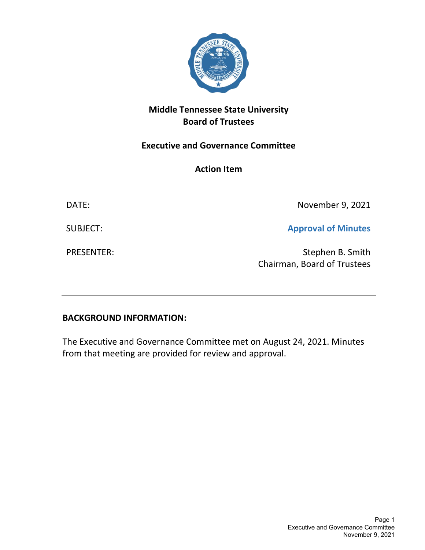

## **Executive and Governance Committee**

## **Action Item**

DATE: November 9, 2021

SUBJECT: **Approval of Minutes**

PRESENTER: Stephen B. Smith Chairman, Board of Trustees

## **BACKGROUND INFORMATION:**

The Executive and Governance Committee met on August 24, 2021. Minutes from that meeting are provided for review and approval.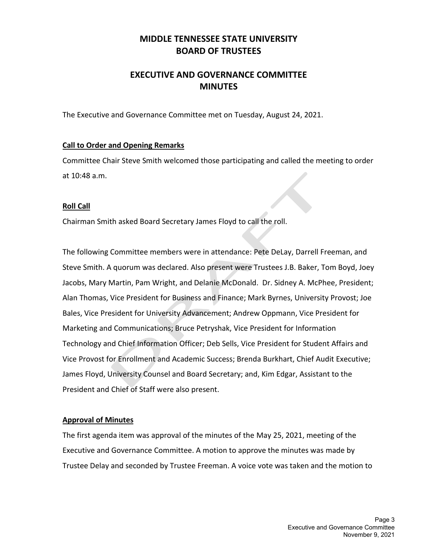## **MIDDLE TENNESSEE STATE UNIVERSITY BOARD OF TRUSTEES**

## **EXECUTIVE AND GOVERNANCE COMMITTEE MINUTES**

The Executive and Governance Committee met on Tuesday, August 24, 2021.

#### **Call to Order and Opening Remarks**

Committee Chair Steve Smith welcomed those participating and called the meeting to order at 10:48 a.m.

#### **Roll Call**

Chairman Smith asked Board Secretary James Floyd to call the roll.

The following Committee members were in attendance: Pete DeLay, Darrell Freeman, and Steve Smith. A quorum was declared. Also present were Trustees J.B. Baker, Tom Boyd, Joey Jacobs, Mary Martin, Pam Wright, and Delanie McDonald. Dr. Sidney A. McPhee, President; Alan Thomas, Vice President for Business and Finance; Mark Byrnes, University Provost; Joe Bales, Vice President for University Advancement; Andrew Oppmann, Vice President for Marketing and Communications; Bruce Petryshak, Vice President for Information Technology and Chief Information Officer; Deb Sells, Vice President for Student Affairs and Vice Provost for Enrollment and Academic Success; Brenda Burkhart, Chief Audit Executive; James Floyd, University Counsel and Board Secretary; and, Kim Edgar, Assistant to the President and Chief of Staff were also present.

#### **Approval of Minutes**

The first agenda item was approval of the minutes of the May 25, 2021, meeting of the Executive and Governance Committee. A motion to approve the minutes was made by Trustee Delay and seconded by Trustee Freeman. A voice vote was taken and the motion to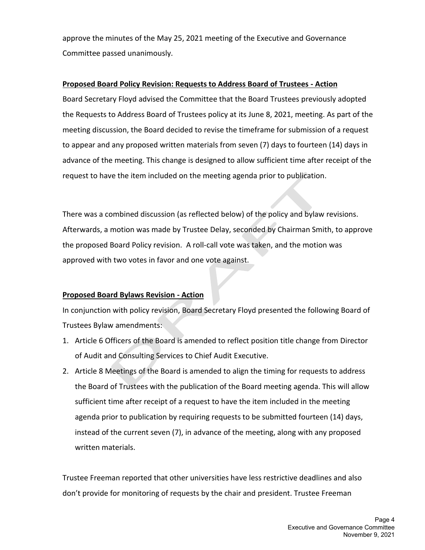approve the minutes of the May 25, 2021 meeting of the Executive and Governance Committee passed unanimously.

#### **Proposed Board Policy Revision: Requests to Address Board of Trustees - Action**

Board Secretary Floyd advised the Committee that the Board Trustees previously adopted the Requests to Address Board of Trustees policy at its June 8, 2021, meeting. As part of the meeting discussion, the Board decided to revise the timeframe for submission of a request to appear and any proposed written materials from seven (7) days to fourteen (14) days in advance of the meeting. This change is designed to allow sufficient time after receipt of the request to have the item included on the meeting agenda prior to publication.

There was a combined discussion (as reflected below) of the policy and bylaw revisions. Afterwards, a motion was made by Trustee Delay, seconded by Chairman Smith, to approve the proposed Board Policy revision. A roll-call vote was taken, and the motion was approved with two votes in favor and one vote against.

#### **Proposed Board Bylaws Revision - Action**

In conjunction with policy revision, Board Secretary Floyd presented the following Board of Trustees Bylaw amendments:

- 1. Article 6 Officers of the Board is amended to reflect position title change from Director of Audit and Consulting Services to Chief Audit Executive.
- 2. Article 8 Meetings of the Board is amended to align the timing for requests to address the Board of Trustees with the publication of the Board meeting agenda. This will allow sufficient time after receipt of a request to have the item included in the meeting agenda prior to publication by requiring requests to be submitted fourteen (14) days, instead of the current seven (7), in advance of the meeting, along with any proposed written materials.

Trustee Freeman reported that other universities have less restrictive deadlines and also don't provide for monitoring of requests by the chair and president. Trustee Freeman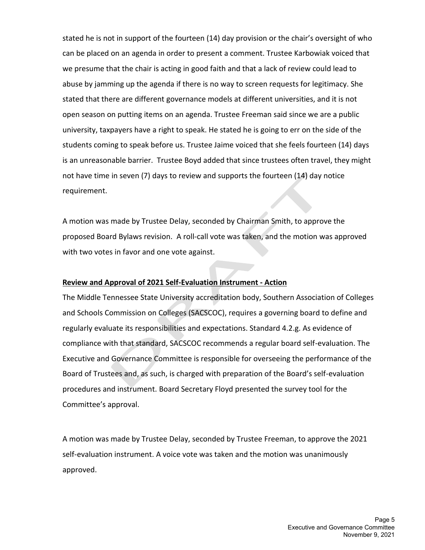stated he is not in support of the fourteen (14) day provision or the chair's oversight of who can be placed on an agenda in order to present a comment. Trustee Karbowiak voiced that we presume that the chair is acting in good faith and that a lack of review could lead to abuse by jamming up the agenda if there is no way to screen requests for legitimacy. She stated that there are different governance models at different universities, and it is not open season on putting items on an agenda. Trustee Freeman said since we are a public university, taxpayers have a right to speak. He stated he is going to err on the side of the students coming to speak before us. Trustee Jaime voiced that she feels fourteen (14) days is an unreasonable barrier. Trustee Boyd added that since trustees often travel, they might not have time in seven (7) days to review and supports the fourteen (14) day notice requirement.

A motion was made by Trustee Delay, seconded by Chairman Smith, to approve the proposed Board Bylaws revision. A roll-call vote was taken, and the motion was approved with two votes in favor and one vote against.

#### **Review and Approval of 2021 Self-Evaluation Instrument - Action**

The Middle Tennessee State University accreditation body, Southern Association of Colleges and Schools Commission on Colleges (SACSCOC), requires a governing board to define and regularly evaluate its responsibilities and expectations. Standard 4.2.g. As evidence of compliance with that standard, SACSCOC recommends a regular board self-evaluation. The Executive and Governance Committee is responsible for overseeing the performance of the Board of Trustees and, as such, is charged with preparation of the Board's self-evaluation procedures and instrument. Board Secretary Floyd presented the survey tool for the Committee's approval.

A motion was made by Trustee Delay, seconded by Trustee Freeman, to approve the 2021 self-evaluation instrument. A voice vote was taken and the motion was unanimously approved.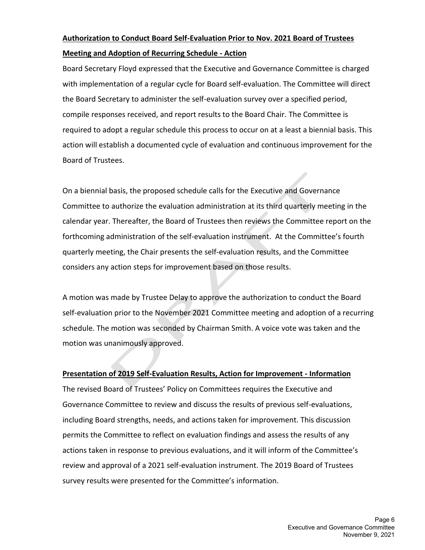# **Authorization to Conduct Board Self-Evaluation Prior to Nov. 2021 Board of Trustees Meeting and Adoption of Recurring Schedule - Action**

Board Secretary Floyd expressed that the Executive and Governance Committee is charged with implementation of a regular cycle for Board self-evaluation. The Committee will direct the Board Secretary to administer the self-evaluation survey over a specified period, compile responses received, and report results to the Board Chair. The Committee is required to adopt a regular schedule this process to occur on at a least a biennial basis. This action will establish a documented cycle of evaluation and continuous improvement for the Board of Trustees.

On a biennial basis, the proposed schedule calls for the Executive and Governance Committee to authorize the evaluation administration at its third quarterly meeting in the calendar year. Thereafter, the Board of Trustees then reviews the Committee report on the forthcoming administration of the self-evaluation instrument. At the Committee's fourth quarterly meeting, the Chair presents the self-evaluation results, and the Committee considers any action steps for improvement based on those results.

A motion was made by Trustee Delay to approve the authorization to conduct the Board self-evaluation prior to the November 2021 Committee meeting and adoption of a recurring schedule. The motion was seconded by Chairman Smith. A voice vote was taken and the motion was unanimously approved.

#### **Presentation of 2019 Self-Evaluation Results, Action for Improvement - Information**

The revised Board of Trustees' Policy on Committees requires the Executive and Governance Committee to review and discuss the results of previous self-evaluations, including Board strengths, needs, and actions taken for improvement. This discussion permits the Committee to reflect on evaluation findings and assess the results of any actions taken in response to previous evaluations, and it will inform of the Committee's review and approval of a 2021 self-evaluation instrument. The 2019 Board of Trustees survey results were presented for the Committee's information.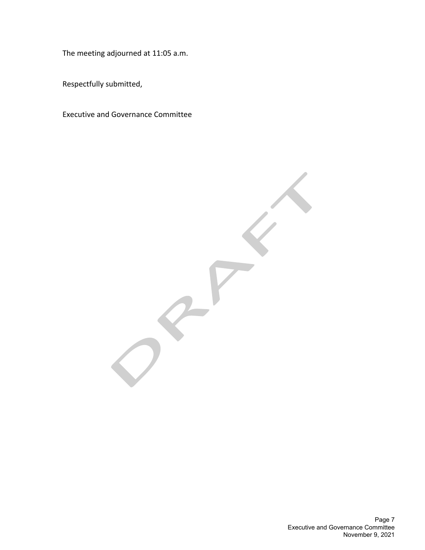The meeting adjourned at 11:05 a.m.

Respectfully submitted,

Executive and Governance Committee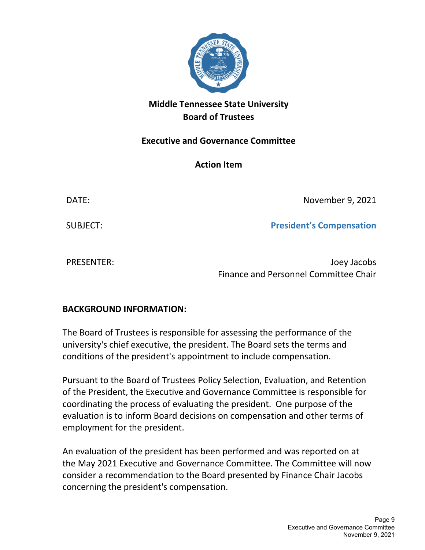

## **Executive and Governance Committee**

**Action Item**

DATE: November 9, 2021

SUBJECT: **President's Compensation**

PRESENTER: Joey Jacobs Finance and Personnel Committee Chair

## **BACKGROUND INFORMATION:**

The Board of Trustees is responsible for assessing the performance of the university's chief executive, the president. The Board sets the terms and conditions of the president's appointment to include compensation.

Pursuant to the Board of Trustees Policy Selection, Evaluation, and Retention of the President, the Executive and Governance Committee is responsible for coordinating the process of evaluating the president. One purpose of the evaluation is to inform Board decisions on compensation and other terms of employment for the president.

An evaluation of the president has been performed and was reported on at the May 2021 Executive and Governance Committee. The Committee will now consider a recommendation to the Board presented by Finance Chair Jacobs concerning the president's compensation.